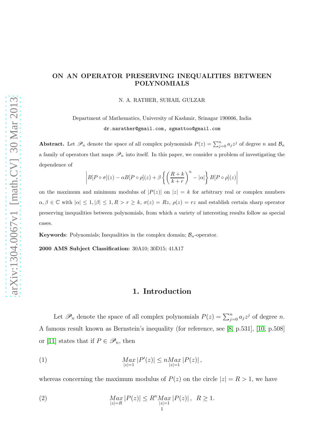## ON AN OPERATOR PRESERVING INEQUALITIES BETWEEN POLYNOMIALS

N. A. RATHER, SUHAIL GULZAR

Department of Mathematics, University of Kashmir, Srinagar 190006, India dr.narather@gmail.com, sgmattoo@gmail.com

**Abstract.** Let  $\mathscr{P}_n$  denote the space of all complex polynomials  $P(z) = \sum_{j=0}^n a_j z^j$  of degree n and  $\mathcal{B}_n$ a family of operators that maps  $\mathscr{P}_n$  into itself. In this paper, we consider a problem of investigating the dependence of

$$
\left|B[P\circ\sigma](z)-\alpha B[P\circ\rho](z)+\beta\left\{\left(\frac{R+k}{k+r}\right)^n-|\alpha|\right\}B[P\circ\rho](z)\right|
$$

on the maximum and minimum modulus of  $|P(z)|$  on  $|z| = k$  for arbitrary real or complex numbers  $\alpha, \beta \in \mathbb{C}$  with  $|\alpha| \leq 1, |\beta| \leq 1, R > r \geq k$ ,  $\sigma(z) = Rz$ ,  $\rho(z) = rz$  and establish certain sharp operator preserving inequalities between polynomials, from which a variety of interesting results follow as special cases.

**Keywords:** Polynomials; Inequalities in the complex domain;  $\mathcal{B}_n$ -operator.

2000 AMS Subject Classification: 30A10; 30D15; 41A17

### <span id="page-0-0"></span>1. Introduction

Let  $\mathscr{P}_n$  denote the space of all complex polynomials  $P(z) = \sum_{j=0}^n a_j z^j$  of degree n. A famous result known as Bernstein's inequality (for reference, see [\[8,](#page-14-0) p.531], [\[10,](#page-14-1) p.508] or [\[11\]](#page-14-2) states that if  $P \in \mathscr{P}_n$ , then

(1) 
$$
\operatorname*{Max}_{|z|=1} |P'(z)| \leq n \operatorname*{Max}_{|z|=1} |P(z)|,
$$

whereas concerning the maximum modulus of  $P(z)$  on the circle  $|z| = R > 1$ , we have

<span id="page-0-1"></span>(2) 
$$
\operatorname*{Max}_{|z|=R} |P(z)| \leq R^{n} \operatorname*{Max}_{|z|=1} |P(z)|, R \geq 1.
$$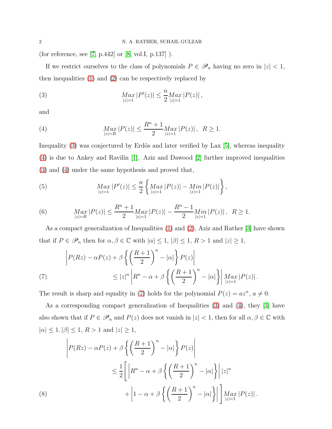(for reference, see  $[7, p.442]$  or  $[8, vol.I, p.137]$ ).

If we restrict ourselves to the class of polynomials  $P \in \mathscr{P}_n$  having no zero in  $|z| < 1$ , then inequalities [\(1\)](#page-0-0) and [\(2\)](#page-0-1) can be respectively replaced by

<span id="page-1-0"></span>(3) 
$$
\lim_{|z|=1} |P'(z)| \leq \frac{n}{2} \lim_{|z|=1} |P(z)|,
$$

and

<span id="page-1-1"></span>(4) 
$$
\operatorname*{Max}_{|z|=R} |P(z)| \leq \frac{R^n + 1}{2} \operatorname*{Max}_{|z|=1} |P(z)|, \ \ R \geq 1.
$$

Inequality  $(3)$  was conjectured by Erdös and later verified by Lax  $[5]$ , whereas inequality [\(4\)](#page-1-1) is due to Ankey and Ravilin [\[1\]](#page-14-5). Aziz and Dawood [\[2\]](#page-14-6) further improved inequalities [\(3\)](#page-1-0) and [\(4\)](#page-1-1) under the same hypothesis and proved that,

(5) 
$$
\underset{|z|=1}{Max} |P'(z)| \leq \frac{n}{2} \left\{ \underset{|z|=1}{Max} |P(z)| - \underset{|z|=1}{Min} |P(z)| \right\},
$$

(6) 
$$
\operatorname*{Max}_{|z|=R} |P(z)| \leq \frac{R^n+1}{2} \operatorname*{Max}_{|z|=1} |P(z)| - \frac{R^n-1}{2} \operatorname*{Min}_{|z|=1} |P(z)|, \ \ R \geq 1.
$$

As a compact generalization of Inequalities [\(1\)](#page-0-0) and [\(2\)](#page-0-1), Aziz and Rather [\[3\]](#page-14-7) have shown that if  $P \in \mathscr{P}_n$  then for  $\alpha, \beta \in \mathbb{C}$  with  $|\alpha| \leq 1, |\beta| \leq 1, R > 1$  and  $|z| \geq 1$ ,

<span id="page-1-2"></span>(7) 
$$
\left| P(Rz) - \alpha P(z) + \beta \left\{ \left( \frac{R+1}{2} \right)^n - |\alpha| \right\} P(z) \right|
$$
  

$$
\leq |z|^n \left| R^n - \alpha + \beta \left\{ \left( \frac{R+1}{2} \right)^n - |\alpha| \right\} \right| \max_{|z|=1} |P(z)|.
$$

The result is sharp and equality in [\(7\)](#page-1-2) holds for the polynomial  $P(z) = az^n$ ,  $a \neq 0$ .

As a corresponding compact generalization of Inequalities [\(3\)](#page-1-0) and [\(4\)](#page-1-1), they [\[3\]](#page-14-7) have also shown that if  $P \in \mathscr{P}_n$  and  $P(z)$  does not vanish in  $|z| < 1$ , then for all  $\alpha, \beta \in \mathbb{C}$  with  $|\alpha| \le 1, |\beta| \le 1, R > 1$  and  $|z| \ge 1$ ,

<span id="page-1-3"></span>
$$
\left| P(Rz) - \alpha P(z) + \beta \left\{ \left( \frac{R+1}{2} \right)^n - |\alpha| \right\} P(z) \right|
$$
  

$$
\leq \frac{1}{2} \left[ \left| R^n - \alpha + \beta \left\{ \left( \frac{R+1}{2} \right)^n - |\alpha| \right\} \right| |z|^n
$$
  
(8)
$$
+ \left| 1 - \alpha + \beta \left\{ \left( \frac{R+1}{2} \right)^n - |\alpha| \right\} \right| \right] \underset{|z|=1}{Max} |P(z)|.
$$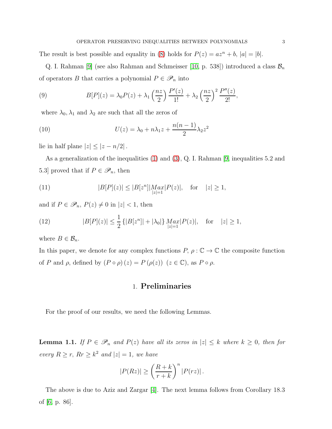The result is best possible and equality in [\(8\)](#page-1-3) holds for  $P(z) = az^n + b$ ,  $|a| = |b|$ .

Q. I. Rahman [\[9\]](#page-14-8) (see also Rahman and Schmeisser [\[10,](#page-14-1) p. 538]) introduced a class  $\mathcal{B}_n$ of operators B that carries a polynomial  $P \in \mathscr{P}_n$  into

(9) 
$$
B[P](z) = \lambda_0 P(z) + \lambda_1 \left(\frac{nz}{2}\right) \frac{P'(z)}{1!} + \lambda_2 \left(\frac{nz}{2}\right)^2 \frac{P''(z)}{2!},
$$

where  $\lambda_0, \lambda_1$  and  $\lambda_2$  are such that all the zeros of

(10) 
$$
U(z) = \lambda_0 + n\lambda_1 z + \frac{n(n-1)}{2}\lambda_2 z^2
$$

lie in half plane  $|z| \leq |z - n/2|$ .

As a generalization of the inequalities [\(1\)](#page-0-0) and [\(3\)](#page-1-0), Q. I. Rahman [\[9,](#page-14-8) inequalities 5.2 and 5.3] proved that if  $P \in \mathscr{P}_n$ , then

(11) 
$$
|B[P](z)| \le |B[z^n]| \underset{|z|=1}{Max} |P(z)|, \text{ for } |z| \ge 1,
$$

and if  $P \in \mathscr{P}_n$ ,  $P(z) \neq 0$  in  $|z| < 1$ , then

<span id="page-2-1"></span>(12) 
$$
|B[P](z)| \leq \frac{1}{2} \{ |B[z^n]| + |\lambda_0| \} \max_{|z|=1} |P(z)|, \text{ for } |z| \geq 1,
$$

where  $B \in \mathcal{B}_n$ .

In this paper, we denote for any complex functions  $P, \rho : \mathbb{C} \to \mathbb{C}$  the composite function of P and  $\rho$ , defined by  $(P \circ \rho)(z) = P(\rho(z))$   $(z \in \mathbb{C})$ , as  $P \circ \rho$ .

# 1. Preliminaries

For the proof of our results, we need the following Lemmas.

<span id="page-2-0"></span>**Lemma 1.1.** If  $P \in \mathcal{P}_n$  and  $P(z)$  have all its zeros in  $|z| \leq k$  where  $k \geq 0$ , then for every  $R \ge r$ ,  $Rr \ge k^2$  and  $|z|=1$ , we have

$$
|P(Rz)| \ge \left(\frac{R+k}{r+k}\right)^n |P(rz)|.
$$

The above is due to Aziz and Zargar [\[4\]](#page-14-9). The next lemma follows from Corollary 18.3 of [\[6,](#page-14-10) p. 86].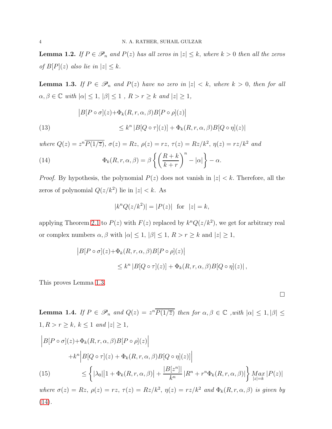**Lemma 1.2.** If  $P \in \mathcal{P}_n$  and  $P(z)$  has all zeros in  $|z| \leq k$ , where  $k > 0$  then all the zeros of  $B[P](z)$  also lie in  $|z| \leq k$ .

<span id="page-3-0"></span>**Lemma 1.3.** If  $P \in \mathcal{P}_n$  and  $P(z)$  have no zero in  $|z| < k$ , where  $k > 0$ , then for all  $\alpha, \beta \in \mathbb{C}$  with  $|\alpha| \leq 1$ ,  $|\beta| \leq 1$ ,  $R > r \geq k$  and  $|z| \geq 1$ ,

(13)  
\n
$$
\begin{aligned}\n|B[P \circ \sigma](z) + \Phi_k(R, r, \alpha, \beta)B[P \circ \rho](z)\n\end{aligned}
$$
\n
$$
\leq k^n |B[Q \circ \tau](z)| + \Phi_k(R, r, \alpha, \beta)B[Q \circ \eta](z)|
$$

where  $Q(z) = z^n \overline{P(1/\overline{z})}$ ,  $\sigma(z) = Rz$ ,  $\rho(z) = rz$ ,  $\tau(z) = Rz/k^2$ ,  $\eta(z) = rz/k^2$  and

(14) 
$$
\Phi_k(R,r,\alpha,\beta) = \beta \left\{ \left( \frac{R+k}{k+r} \right)^n - |\alpha| \right\} - \alpha.
$$

*Proof.* By hypothesis, the polynomial  $P(z)$  does not vanish in  $|z| < k$ . Therefore, all the zeros of polynomial  $Q(z/k^2)$  lie in  $|z| < k$ . As

<span id="page-3-1"></span>
$$
|k^n Q(z/k^2)| = |P(z)|
$$
 for  $|z| = k$ ,

applying Theorem [2.1](#page-5-0) to  $P(z)$  with  $F(z)$  replaced by  $k^n Q(z/k^2)$ , we get for arbitrary real or complex numbers  $\alpha, \beta$  with  $|\alpha| \leq 1$ ,  $|\beta| \leq 1$ ,  $R > r \geq k$  and  $|z| \geq 1$ ,

$$
|B[P \circ \sigma](z) + \Phi_k(R, r, \alpha, \beta)B[P \circ \rho](z)|
$$
  
\$\leq k^n |B[Q \circ \tau](z)] + \Phi\_k(R, r, \alpha, \beta)B[Q \circ \eta](z)|,

This proves Lemma [1.3.](#page-3-0)

 $\Box$ 

<span id="page-3-2"></span>**Lemma 1.4.** If  $P \in \mathscr{P}_n$  and  $Q(z) = z^n \overline{P(1/\overline{z})}$  then for  $\alpha, \beta \in \mathbb{C}$  , with  $|\alpha| \leq 1, |\beta| \leq 1$  $1, R > r \geq k, k \leq 1 \text{ and } |z| \geq 1,$ 

$$
\begin{aligned}\n\left| B[P \circ \sigma](z) + \Phi_k(R, r, \alpha, \beta) B[P \circ \rho](z) \right| \\
&\quad + k^n \left| B[Q \circ \tau](z) + \Phi_k(R, r, \alpha, \beta) B[Q \circ \eta](z) \right| \\
\leq \left\{ |\lambda_0| \left| 1 + \Phi_k(R, r, \alpha, \beta) \right| + \frac{|B[z^n]|}{k^n} \left| R^n + r^n \Phi_k(R, r, \alpha, \beta) \right| \right\} \max_{|z| = k} |P(z)|\n\end{aligned}
$$

where  $\sigma(z) = Rz$ ,  $\rho(z) = rz$ ,  $\tau(z) = Rz/k^2$ ,  $\eta(z) = rz/k^2$  and  $\Phi_k(R,r,\alpha,\beta)$  is given by  $(14).$  $(14).$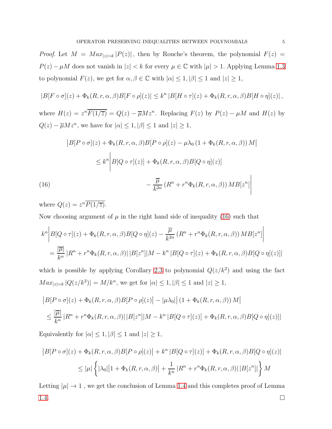*Proof.* Let  $M = Max_{|z|=k}$  | $P(z)$ |, then by Rouche's theorem, the polynomial  $F(z)$  =  $P(z) - \mu M$  does not vanish in  $|z| < k$  for every  $\mu \in \mathbb{C}$  with  $|\mu| > 1$ . Applying Lemma [1.3](#page-3-0) to polynomial  $F(z)$ , we get for  $\alpha, \beta \in \mathbb{C}$  with  $|\alpha| \leq 1, |\beta| \leq 1$  and  $|z| \geq 1$ ,

$$
|B[F \circ \sigma](z) + \Phi_k(R, r, \alpha, \beta)B[F \circ \rho](z)| \leq k^n |B[H \circ \tau](z) + \Phi_k(R, r, \alpha, \beta)B[H \circ \eta](z)|,
$$

where  $H(z) = z^n \overline{F(1/\overline{z})} = Q(z) - \overline{\mu} M z^n$ . Replacing  $F(z)$  by  $P(z) - \mu M$  and  $H(z)$  by  $Q(z) - \overline{\mu} M z^n$ , we have for  $|\alpha| \leq 1, |\beta| \leq 1$  and  $|z| \geq 1$ ,

$$
\begin{aligned}\n|B[P \circ \sigma](z) + \Phi_k(R, r, \alpha, \beta)B[P \circ \rho](z) - \mu \lambda_0 \left(1 + \Phi_k(R, r, \alpha, \beta)\right)M \\
&\leq k^n \left| B[Q \circ \tau](z)\right| + \Phi_k(R, r, \alpha, \beta)B[Q \circ \eta](z)\n\end{aligned}
$$
\n
$$
(16)\qquad \qquad -\frac{\overline{\mu}}{k^{2n}}\left(R^n + r^n \Phi_k(R, r, \alpha, \beta)\right)MB[z^n]
$$

<span id="page-4-0"></span>where  $Q(z) = z^n \overline{P(1/\overline{z})}$ .

Now choosing argument of  $\mu$  in the right hand side of inequality [\(16\)](#page-4-0) such that

$$
k^{n} \left| B[Q \circ \tau](z) + \Phi_{k}(R, r, \alpha, \beta) B[Q \circ \eta](z) - \frac{\overline{\mu}}{k^{2n}} (R^{n} + r^{n} \Phi_{k}(R, r, \alpha, \beta)) MB[z^{n}] \right|
$$
  
= 
$$
\frac{|\overline{\mu}|}{k^{n}} |R^{n} + r^{n} \Phi_{k}(R, r, \alpha, \beta)| |B[z^{n}]| M - k^{n} |B[Q \circ \tau](z) + \Phi_{k}(R, r, \alpha, \beta) B[Q \circ \eta](z)|
$$

which is possible by applying Corollary [2.3](#page-9-0) to polynomial  $Q(z/k^2)$  and using the fact  $Max_{|z|=k} |Q(z/k^2)| = M/k^n$ , we get for  $|\alpha| \leq 1, |\beta| \leq 1$  and  $|z| \geq 1$ ,

$$
|B[P \circ \sigma](z) + \Phi_k(R, r, \alpha, \beta)B[P \circ \rho](z)| - |\mu \lambda_0|| (1 + \Phi_k(R, r, \alpha, \beta)) M|
$$
  
\$\leq \frac{|\overline{\mu}|}{k^n} | R^n + r^n \Phi\_k(R, r, \alpha, \beta)| |B[z^n]| M - k^n |B[Q \circ \tau](z)| + \Phi\_k(R, r, \alpha, \beta)B[Q \circ \eta](z)|\$

Equivalently for  $|\alpha| \leq 1, |\beta| \leq 1$  and  $|z| \geq 1$ ,

$$
\begin{aligned} \left| B[P \circ \sigma](z) + \Phi_k(R, r, \alpha, \beta) B[P \circ \rho](z) \right| &+ k^n \left| B[Q \circ \tau](z) \right| + \Phi_k(R, r, \alpha, \beta) B[Q \circ \eta](z) \\ &\leq |\mu| \left\{ |\lambda_0| \left| 1 + \Phi_k(R, r, \alpha, \beta) \right| + \frac{1}{k^n} \left| R^n + r^n \Phi_k(R, r, \alpha, \beta) \right| \left| B[z^n] \right| \right\} M \end{aligned}
$$

Letting  $|\mu| \to 1$ , we get the conclusion of Lemma [1.4](#page-3-2) and this completes proof of Lemma [1.4.](#page-3-2)  $\Box$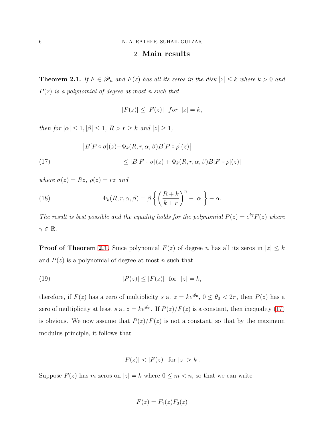#### 2. Main results

<span id="page-5-0"></span>**Theorem 2.1.** If  $F \in \mathscr{P}_n$  and  $F(z)$  has all its zeros in the disk  $|z| \leq k$  where  $k > 0$  and  $P(z)$  is a polynomial of degree at most n such that

$$
|P(z)| \le |F(z)| \quad \text{for } |z| = k,
$$

then for  $|\alpha| \leq 1, |\beta| \leq 1$ ,  $R > r \geq k$  and  $|z| \geq 1$ ,

<span id="page-5-1"></span>(17) 
$$
\begin{aligned} \left| B[P \circ \sigma](z) + \Phi_k(R, r, \alpha, \beta) B[P \circ \rho](z) \right| \\ \leq |B[F \circ \sigma](z) + \Phi_k(R, r, \alpha, \beta) B[F \circ \rho](z) | \end{aligned}
$$

where  $\sigma(z) = Rz$ ,  $\rho(z) = rz$  and

<span id="page-5-3"></span>(18) 
$$
\Phi_k(R,r,\alpha,\beta) = \beta \left\{ \left( \frac{R+k}{k+r} \right)^n - |\alpha| \right\} - \alpha.
$$

The result is best possible and the equality holds for the polynomial  $P(z) = e^{i\gamma} F(z)$  where  $\gamma \in \mathbb{R}$ .

**Proof of Theorem [2.1](#page-5-0)**. Since polynomial  $F(z)$  of degree n has all its zeros in  $|z| \leq k$ and  $P(z)$  is a polynomial of degree at most n such that

<span id="page-5-2"></span>
$$
(19) \t\t\t |P(z)| \le |F(z)| \tfor |z| = k,
$$

therefore, if  $F(z)$  has a zero of multiplicity s at  $z = ke^{i\theta_0}$ ,  $0 \le \theta_0 < 2\pi$ , then  $P(z)$  has a zero of multiplicity at least s at  $z = ke^{i\theta_0}$ . If  $P(z)/F(z)$  is a constant, then inequality [\(17\)](#page-5-1) is obvious. We now assume that  $P(z)/F(z)$  is not a constant, so that by the maximum modulus principle, it follows that

$$
|P(z)| < |F(z)|
$$
 for  $|z| > k$ .

Suppose  $F(z)$  has m zeros on  $|z| = k$  where  $0 \le m < n$ , so that we can write

$$
F(z) = F_1(z)F_2(z)
$$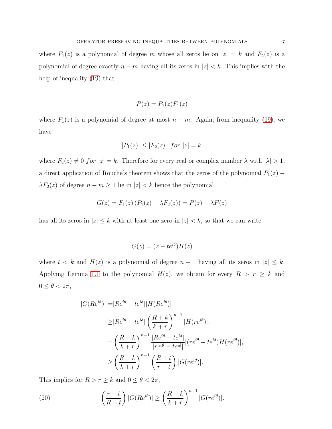where  $F_1(z)$  is a polynomial of degree m whose all zeros lie on  $|z| = k$  and  $F_2(z)$  is a polynomial of degree exactly  $n - m$  having all its zeros in  $|z| < k$ . This implies with the help of inequality [\(19\)](#page-5-2) that

$$
P(z) = P_1(z) F_1(z)
$$

where  $P_1(z)$  is a polynomial of degree at most  $n - m$ . Again, from inequality [\(19\)](#page-5-2), we have

$$
|P_1(z)| \le |F_2(z)| \text{ for } |z| = k
$$

where  $F_2(z) \neq 0$  for  $|z| = k$ . Therefore for every real or complex number  $\lambda$  with  $|\lambda| > 1$ , a direct application of Rouche's theorem shows that the zeros of the polynomial  $P_1(z)$  −  $\lambda F_2(z)$  of degree  $n - m \ge 1$  lie in  $|z| < k$  hence the polynomial

$$
G(z) = F_1(z) (P_1(z) - \lambda F_2(z)) = P(z) - \lambda F(z)
$$

has all its zeros in  $|z| \leq k$  with at least one zero in  $|z| < k$ , so that we can write

$$
G(z) = (z - te^{i\delta})H(z)
$$

where  $t < k$  and  $H(z)$  is a polynomial of degree  $n-1$  having all its zeros in  $|z| \leq k$ . Applying Lemma [1.1](#page-2-0) to the polynomial  $H(z)$ , we obtain for every  $R > r \geq k$  and  $0 \leq \theta < 2\pi$ ,

$$
|G(Re^{i\theta})| = |Re^{i\theta} - te^{i\delta}| |H(Re^{i\theta})|
$$
  
\n
$$
\geq |Re^{i\theta} - te^{i\delta}| \left(\frac{R+k}{k+r}\right)^{n-1} |H(re^{i\theta})|,
$$
  
\n
$$
= \left(\frac{R+k}{k+r}\right)^{n-1} \frac{|Re^{i\theta} - te^{i\delta}|}{|re^{i\theta} - te^{i\delta}|} |(re^{i\theta} - te^{i\delta}) H(re^{i\theta})|,
$$
  
\n
$$
\geq \left(\frac{R+k}{k+r}\right)^{n-1} \left(\frac{R+t}{r+t}\right) |G(re^{i\theta})|.
$$

This implies for  $R > r \geq k$  and  $0 \leq \theta < 2\pi$ ,

<span id="page-6-0"></span>(20) 
$$
\left(\frac{r+t}{R+t}\right)|G(Re^{i\theta})| \ge \left(\frac{R+k}{k+r}\right)^{n-1}|G(re^{i\theta})|.
$$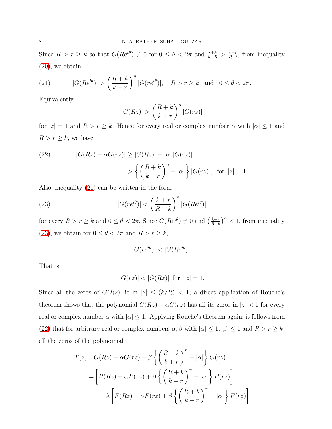Since  $R > r \geq k$  so that  $G(Re^{i\theta}) \neq 0$  for  $0 \leq \theta < 2\pi$  and  $\frac{r+k}{k+R} > \frac{r+t}{R+t}$  $\frac{r+t}{R+t}$ , from inequality [\(20\)](#page-6-0), we obtain

<span id="page-7-0"></span>(21) 
$$
|G(Re^{i\theta})| > \left(\frac{R+k}{k+r}\right)^n |G(re^{i\theta})|, \quad R > r \ge k \text{ and } 0 \le \theta < 2\pi.
$$

Equivalently,

$$
|G(Rz)| > \left(\frac{R+k}{k+r}\right)^n |G(rz)|
$$

for  $|z| = 1$  and  $R > r \geq k$ . Hence for every real or complex number  $\alpha$  with  $|\alpha| \leq 1$  and  $R > r \geq k$ , we have

<span id="page-7-2"></span>(22) 
$$
|G(Rz) - \alpha G(rz)| \ge |G(Rz)| - |\alpha| |G(rz)|
$$

$$
> \left\{ \left( \frac{R+k}{k+r} \right)^n - |\alpha| \right\} |G(rz)|, \text{ for } |z| = 1.
$$

Also, inequality [\(21\)](#page-7-0) can be written in the form

(23) 
$$
|G(re^{i\theta})| < \left(\frac{k+r}{R+k}\right)^n |G(Re^{i\theta})|
$$

for every  $R > r \geq k$  and  $0 \leq \theta < 2\pi$ . Since  $G(Re^{i\theta}) \neq 0$  and  $\left(\frac{k+r}{R+k}\right)$  $\frac{k+r}{R+k}$ <sup>n</sup> < 1, from inequality [\(23\)](#page-7-1), we obtain for  $0 \leq \theta < 2\pi$  and  $R > r \geq k,$ 

<span id="page-7-1"></span>
$$
|G(re^{i\theta})| < |G(Re^{i\theta})|.
$$

That is,

$$
|G(rz)| < |G(Rz)|
$$
 for  $|z| = 1$ .

Since all the zeros of  $G(Rz)$  lie in  $|z| \le (k/R) < 1$ , a direct application of Rouche's theorem shows that the polynomial  $G(Rz) - \alpha G(rz)$  has all its zeros in  $|z| < 1$  for every real or complex number  $\alpha$  with  $|\alpha| \leq 1$ . Applying Rouche's theorem again, it follows from [\(22\)](#page-7-2) that for arbitrary real or complex numbers  $\alpha, \beta$  with  $|\alpha| \leq 1, |\beta| \leq 1$  and  $R > r \geq k$ , all the zeros of the polynomial

$$
T(z) = G(Rz) - \alpha G(rz) + \beta \left\{ \left( \frac{R+k}{k+r} \right)^n - |\alpha| \right\} G(rz)
$$
  
= 
$$
\left[ P(Rz) - \alpha P(rz) + \beta \left\{ \left( \frac{R+k}{k+r} \right)^n - |\alpha| \right\} P(rz) \right]
$$
  

$$
- \lambda \left[ F(Rz) - \alpha F(rz) + \beta \left\{ \left( \frac{R+k}{k+r} \right)^n - |\alpha| \right\} F(rz) \right]
$$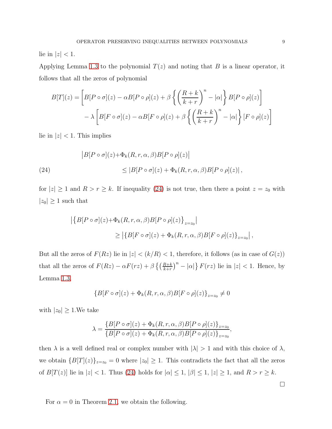lie in  $|z|$  < 1.

Applying Lemma [1.3](#page-3-0) to the polynomial  $T(z)$  and noting that B is a linear operator, it follows that all the zeros of polynomial

$$
B[T](z) = \left[ B[P \circ \sigma](z) - \alpha B[P \circ \rho](z) + \beta \left\{ \left( \frac{R+k}{k+r} \right)^n - |\alpha| \right\} B[P \circ \rho](z) \right] - \lambda \left[ B[F \circ \sigma](z) - \alpha B[F \circ \rho](z) + \beta \left\{ \left( \frac{R+k}{k+r} \right)^n - |\alpha| \right\} [F \circ \rho](z) \right]
$$

lie in  $|z|$  < 1. This implies

<span id="page-8-0"></span>(24)  
\n
$$
|B[P \circ \sigma](z) + \Phi_k(R, r, \alpha, \beta)B[P \circ \rho](z)|
$$
\n
$$
\leq |B[P \circ \sigma](z) + \Phi_k(R, r, \alpha, \beta)B[P \circ \rho](z)|,
$$

for  $|z| \ge 1$  and  $R > r \ge k$ . If inequality [\(24\)](#page-8-0) is not true, then there a point  $z = z_0$  with  $|z_0| \geq 1$  such that

$$
\begin{aligned} \left| \left\{ B[P \circ \sigma](z) + \Phi_k(R, r, \alpha, \beta) B[P \circ \rho](z) \right\}_{z=z_0} \right| \\ &\geq \left| \left\{ B[F \circ \sigma](z) + \Phi_k(R, r, \alpha, \beta) B[F \circ \rho](z) \right\}_{z=z_0} \right|, \end{aligned}
$$

But all the zeros of  $F(Rz)$  lie in  $|z| < (k/R) < 1$ , therefore, it follows (as in case of  $G(z)$ ) that all the zeros of  $F(Rz) - \alpha F(rz) + \beta \left\{ \left( \frac{R+k}{k+r} \right)^n - |\alpha| \right\} F(rz)$  lie in  $|z| < 1$ . Hence, by Lemma [1.3,](#page-3-0)

$$
\{B[F \circ \sigma](z) + \Phi_k(R, r, \alpha, \beta)B[F \circ \rho](z)\}_{z=z_0} \neq 0
$$

with  $|z_0| \geq 1$ . We take

$$
\lambda = \frac{\{B[P \circ \sigma](z) + \Phi_k(R, r, \alpha, \beta)B[P \circ \rho](z)\}_{z=z_0}}{\{B[P \circ \sigma](z) + \Phi_k(R, r, \alpha, \beta)B[P \circ \rho](z)\}_{z=z_0}},
$$

then  $\lambda$  is a well defined real or complex number with  $|\lambda| > 1$  and with this choice of  $\lambda$ , we obtain  ${B[T](z)}_{z=z_0} = 0$  where  $|z_0| \ge 1$ . This contradicts the fact that all the zeros of  $B[T(z)]$  lie in  $|z| < 1$ . Thus [\(24\)](#page-8-0) holds for  $|\alpha| \leq 1$ ,  $|\beta| \leq 1$ ,  $|z| \geq 1$ , and  $R > r \geq k$ .

For  $\alpha = 0$  in Theorem [2.1,](#page-5-0) we obtain the following.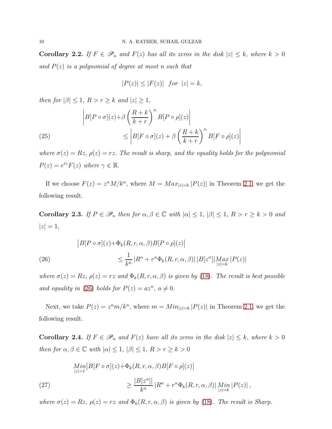Corollary 2.2. If  $F \in \mathscr{P}_n$  and  $F(z)$  has all its zeros in the disk  $|z| \leq k$ , where  $k > 0$ and  $P(z)$  is a polynomial of degree at most n such that

$$
|P(z)| \le |F(z)| \quad \text{for} \quad |z| = k,
$$

then for  $|\beta| \leq 1$ ,  $R > r \geq k$  and  $|z| \geq 1$ ,

(25)  
\n
$$
\begin{aligned}\n\left| B[P \circ \sigma](z) + \beta \left( \frac{R+k}{k+r} \right)^n B[P \circ \rho](z) \right| \\
&\le \left| B[F \circ \sigma](z) + \beta \left( \frac{R+k}{k+r} \right)^n B[F \circ \rho](z) \right|\n\end{aligned}
$$

where  $\sigma(z) = Rz$ ,  $\rho(z) = rz$ . The result is sharp, and the equality holds for the polynomial  $P(z) = e^{i\gamma} F(z)$  where  $\gamma \in \mathbb{R}$ .

If we choose  $F(z) = z^n M/k^n$ , where  $M = Max_{|z|=k} |P(z)|$  in Theorem [2.1,](#page-5-0) we get the following result.

<span id="page-9-0"></span>Corollary 2.3. If  $P \in \mathscr{P}_n$  then for  $\alpha, \beta \in \mathbb{C}$  with  $|\alpha| \leq 1, |\beta| \leq 1, R > r \geq k > 0$  and  $|z| = 1,$ 

<span id="page-9-1"></span>(26)  
\n
$$
\begin{aligned}\n|B[P \circ \sigma](z) + \Phi_k(R, r, \alpha, \beta)B[P \circ \rho](z)\n\end{aligned}
$$
\n
$$
\leq \frac{1}{k^n} |R^n + r^n \Phi_k(R, r, \alpha, \beta)| |B[z^n]| \underset{|z|=k}{Max} |P(z)|
$$

where  $\sigma(z) = Rz$ ,  $\rho(z) = rz$  and  $\Phi_k(R, r, \alpha, \beta)$  is given by [\(18\)](#page-5-3). The result is best possible and equality in [\(26\)](#page-9-1) holds for  $P(z) = az^n, a \neq 0$ .

Next, we take  $P(z) = z^n m/k^n$ , where  $m = Min_{|z|=k} |P(z)|$  in Theorem [2.1,](#page-5-0) we get the following result.

<span id="page-9-2"></span>**Corollary 2.4.** If  $F \in \mathscr{P}_n$  and  $F(z)$  have all its zeros in the disk  $|z| \leq k$ , where  $k > 0$ then for  $\alpha, \beta \in \mathbb{C}$  with  $|\alpha| \leq 1, |\beta| \leq 1, R > r \geq k > 0$ 

(27)  
\n
$$
\lim_{|z|=1} |B[F \circ \sigma](z) + \Phi_k(R, r, \alpha, \beta)B[F \circ \rho](z)|
$$
\n
$$
\geq \frac{|B[z^n]|}{k^n} |R^n + r^n \Phi_k(R, r, \alpha, \beta)| \lim_{|z|=k} |P(z)|,
$$

where  $\sigma(z) = Rz$ ,  $\rho(z) = rz$  and  $\Phi_k(R, r, \alpha, \beta)$  is given by [\(18\)](#page-5-3). The result is Sharp.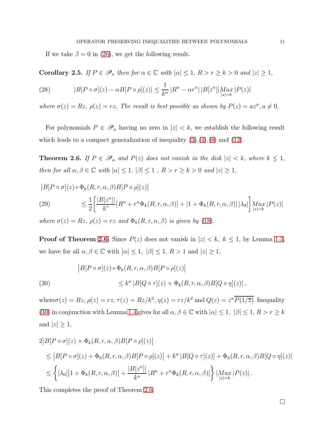If we take  $\beta = 0$  in [\(26\)](#page-9-1), we get the following result.

Corollary 2.5. If  $P \in \mathscr{P}_n$  then for  $\alpha \in \mathbb{C}$  with  $|\alpha| \leq 1$ ,  $R > r \geq k > 0$  and  $|z| \geq 1$ ,

(28) 
$$
|B[P \circ \sigma](z) - \alpha B[P \circ \rho](z)| \leq \frac{1}{k^n} |R^n - \alpha r^n| |B[z^n]| \underset{|z|=k}{Max} |P(z)|
$$

where  $\sigma(z) = Rz$ ,  $\rho(z) = rz$ . The result is best possible as shown by  $P(z) = az^n, a \neq 0$ .

For polynomials  $P \in \mathscr{P}_n$  having no zero in  $|z| < k$ , we establish the following result which leads to a compact generalization of inequality  $(3),(4),(8)$  $(3),(4),(8)$  $(3),(4),(8)$  $(3),(4),(8)$  and  $(12)$ .

<span id="page-10-0"></span>**Theorem 2.6.** If  $P \in \mathcal{P}_n$  and  $P(z)$  does not vanish in the disk  $|z| < k$ , where  $k \leq 1$ , then for all  $\alpha, \beta \in \mathbb{C}$  with  $|\alpha| \leq 1$ ,  $|\beta| \leq 1$ ,  $R > r \geq k > 0$  and  $|z| \geq 1$ ,

$$
|B[P \circ \sigma](z) + \Phi_k(R, r, \alpha, \beta)B[P \circ \rho](z)|
$$
  
(29) 
$$
\leq \frac{1}{2} \left[ \frac{|B[z^n]|}{k^n} |R^n + r^n \Phi_k(R, r, \alpha, \beta)| + |1 + \Phi_k(R, r, \alpha, \beta)| |\lambda_0| \right] \max_{|z| = k} |P(z)|
$$

where  $\sigma(z) = Rz$ ,  $\rho(z) = rz$  and  $\Phi_k(R, r, \alpha, \beta)$  is given by [\(18\)](#page-5-3).

**Proof of Theorem [2.6](#page-10-0)**. Since  $P(z)$  does not vanish in  $|z| < k$ ,  $k \le 1$ , by Lemma [1.3,](#page-3-0) we have for all  $\alpha, \beta \in \mathbb{C}$  with  $|\alpha| \leq 1$ ,  $|\beta| \leq 1$ ,  $R > 1$  and  $|z| \geq 1$ ,

<span id="page-10-1"></span>(30)  
\n
$$
\begin{aligned}\n|B[P \circ \sigma](z) + \Phi_k(R, r, \alpha, \beta) B[P \circ \rho](z)| \\
&\leq k^n |B[Q \circ \tau](z) + \Phi_k(R, r, \alpha, \beta) B[Q \circ \eta](z)|\,,\n\end{aligned}
$$

where  $\sigma(z) = Rz$ ,  $\rho(z) = rz$ ,  $\tau(z) = Rz/k^2$ ,  $\eta(z) = rz/k^2$  and  $Q(z) = z^n \overline{P(1/\overline{z})}$ . Inequality [\(30\)](#page-10-1) in conjunction with Lemma [1.4](#page-3-2) gives for all  $\alpha, \beta \in \mathbb{C}$  with  $|\alpha| \leq 1$ ,  $|\beta| \leq 1$ ,  $R > r \geq k$ and  $|z| \geq 1$ ,

$$
2|B[P \circ \sigma](z) + \Phi_k(R, r, \alpha, \beta)B[P \circ \rho](z)|
$$
  
\n
$$
\leq |B[P \circ \sigma](z) + \Phi_k(R, r, \alpha, \beta)B[P \circ \rho](z)| + k^n |B[Q \circ \tau](z)| + \Phi_k(R, r, \alpha, \beta)B[Q \circ \eta](z)|
$$
  
\n
$$
\leq \left\{ |\lambda_0| |1 + \Phi_k(R, r, \alpha, \beta)| + \frac{|B[z^n]|}{k^n} |R^n + r^n \Phi_k(R, r, \alpha, \beta)| \right\} |Max_{|z|=k} |P(z)|.
$$

This completes the proof of Theorem [2.6.](#page-10-0)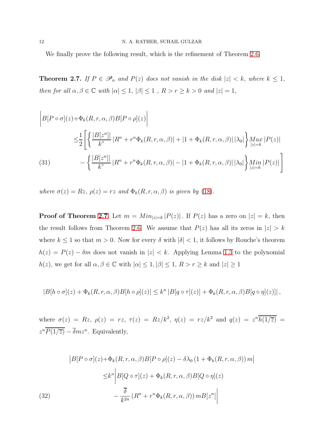We finally prove the following result, which is the refinement of Theorem [2.6.](#page-10-0)

<span id="page-11-0"></span>**Theorem 2.7.** If  $P \in \mathscr{P}_n$  and  $P(z)$  does not vanish in the disk  $|z| < k$ , where  $k \leq 1$ , then for all  $\alpha, \beta \in \mathbb{C}$  with  $|\alpha| \leq 1$ ,  $|\beta| \leq 1$ ,  $R > r \geq k > 0$  and  $|z| = 1$ ,

$$
\begin{aligned}\n\left| B[P \circ \sigma](z) + \Phi_k(R, r, \alpha, \beta) B[P \circ \rho](z) \right| \\
&\leq \frac{1}{2} \left[ \left\{ \frac{|B[z^n]|}{k^n} | R^n + r^n \Phi_k(R, r, \alpha, \beta) | + |1 + \Phi_k(R, r, \alpha, \beta)| |\lambda_0| \right\} \underset{|z|=k}{Max} |P(z)| \\
&\quad - \left\{ \frac{|B[z^n]|}{k^n} | R^n + r^n \Phi_k(R, r, \alpha, \beta) | - |1 + \Phi_k(R, r, \alpha, \beta)| |\lambda_0| \right\} \underset{|z|=k}{Min} |P(z)| \right] \n\end{aligned}
$$

<span id="page-11-2"></span>where  $\sigma(z) = Rz$ ,  $\rho(z) = rz$  and  $\Phi_k(R, r, \alpha, \beta)$  is given by [\(18\)](#page-5-3).

**Proof of Theorem [2.7](#page-11-0).** Let  $m = Min_{|z|=k} |P(z)|$ . If  $P(z)$  has a zero on  $|z| = k$ , then the result follows from Theorem [2.6.](#page-10-0) We assume that  $P(z)$  has all its zeros in  $|z| > k$ where  $k \leq 1$  so that  $m > 0$ . Now for every  $\delta$  with  $|\delta| < 1$ , it follows by Rouche's theorem  $h(z) = P(z) - \delta m$  does not vanish in  $|z| < k$ . Applying Lemma [1.3](#page-3-0) to the polynomial  $h(z),$  we get for all  $\alpha,\beta\in\mathbb{C}$  with  $|\alpha|\leq 1, |\beta|\leq 1,$   $R>r\geq k$  and  $|z|\geq 1$ 

$$
|B[h \circ \sigma](z) + \Phi_k(R, r, \alpha, \beta)B[h \circ \rho](z)| \leq k^n |B[q \circ \tau](z)| + \Phi_k(R, r, \alpha, \beta)B[q \circ \eta](z)|],
$$

where  $\sigma(z) = Rz$ ,  $\rho(z) = rz$ ,  $\tau(z) = Rz/k^2$ ,  $\eta(z) = rz/k^2$  and  $q(z) = z^n \overline{h(1/\overline{z})}$  $z^{n}\overline{P(1/\overline{z})} - \overline{\delta}mz^{n}$ . Equivalently,

<span id="page-11-1"></span>(32)  
\n
$$
\begin{aligned}\n\left|B[P \circ \sigma](z) + \Phi_k(R, r, \alpha, \beta)B[P \circ \rho](z) - \delta \lambda_0 (1 + \Phi_k(R, r, \alpha, \beta)) m\right| \\
&\leq k^n \left|B[Q \circ \tau](z) + \Phi_k(R, r, \alpha, \beta)B[Q \circ \eta](z) - \frac{\overline{\delta}}{k^{2n}} (R^n + r^n \Phi_k(R, r, \alpha, \beta)) m B[z^n]\right|\n\end{aligned}
$$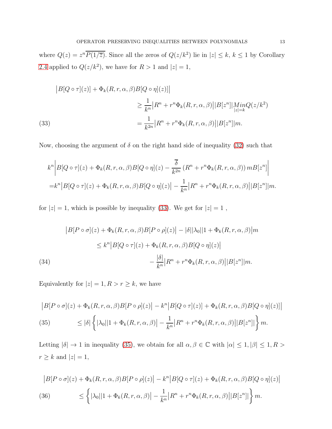where  $Q(z) = z^n \overline{P(1/\overline{z})}$ . Since all the zeros of  $Q(z/k^2)$  lie in  $|z| \leq k, k \leq 1$  by Corollary [2.4](#page-9-2) applied to  $Q(z/k^2)$ , we have for  $R > 1$  and  $|z| = 1$ ,

<span id="page-12-0"></span>(33)  
\n
$$
|B[Q \circ \tau](z)| + \Phi_k(R, r, \alpha, \beta)B[Q \circ \eta](z)|
$$
\n
$$
\geq \frac{1}{k^n} |R^n + r^n \Phi_k(R, r, \alpha, \beta)| |B[z^n]| \underset{|z|=k}{MinQ(z/k^2)}
$$
\n
$$
= \frac{1}{k^{2n}} |R^n + r^n \Phi_k(R, r, \alpha, \beta)| |B[z^n]| m.
$$

Now, choosing the argument of  $\delta$  on the right hand side of inequality [\(32\)](#page-11-1) such that

$$
k^{n} \bigg| B[Q \circ \tau](z) + \Phi_{k}(R, r, \alpha, \beta) B[Q \circ \eta](z) - \frac{\overline{\delta}}{k^{2n}} (R^{n} + r^{n} \Phi_{k}(R, r, \alpha, \beta)) m B[z^{n}] \bigg|
$$
  
=  $k^{n} |B[Q \circ \tau](z) + \Phi_{k}(R, r, \alpha, \beta) B[Q \circ \eta](z) - \frac{1}{k^{n}} |R^{n} + r^{n} \Phi_{k}(R, r, \alpha, \beta)||B[z^{n}]|m.$ 

for  $|z|=1$ , which is possible by inequality [\(33\)](#page-12-0). We get for  $|z|=1$ ,

(34)  
\n
$$
|B[P \circ \sigma](z) + \Phi_k(R, r, \alpha, \beta)B[P \circ \rho](z)| - |\delta||\lambda_0||1 + \Phi_k(R, r, \alpha, \beta)|m
$$
\n
$$
\leq k^n |B[Q \circ \tau](z) + \Phi_k(R, r, \alpha, \beta)B[Q \circ \eta](z)|
$$
\n
$$
-\frac{|\delta|}{k^n} |R^n + r^n \Phi_k(R, r, \alpha, \beta)| |B[z^n]|m.
$$

Equivalently for  $|z|=1, R>r\geq k,$  we have

<span id="page-12-1"></span>
$$
\begin{aligned}\n|B[P \circ \sigma](z) + \Phi_k(R, r, \alpha, \beta)B[P \circ \rho](z)\n| &- k^n |B[Q \circ \tau](z)\n| + \Phi_k(R, r, \alpha, \beta)B[Q \circ \eta](z)\n\end{aligned}
$$
\n
$$
(35) \leq |\delta| \left\{ |\lambda_0| |1 + \Phi_k(R, r, \alpha, \beta) \right\} - \frac{1}{k^n} |R^n + r^n \Phi_k(R, r, \alpha, \beta)| |B[z^n]| \right\} m.
$$

Letting  $|\delta| \to 1$  in inequality [\(35\)](#page-12-1), we obtain for all  $\alpha, \beta \in \mathbb{C}$  with  $|\alpha| \leq 1, |\beta| \leq 1, R >$  $r \geq k$  and  $|z|=1$ ,

<span id="page-12-2"></span>
$$
\begin{aligned} \left| B[P \circ \sigma](z) + \Phi_k(R, r, \alpha, \beta) B[P \circ \rho](z) \right| &- k^n \left| B[Q \circ \tau](z) + \Phi_k(R, r, \alpha, \beta) B[Q \circ \eta](z) \right| \\ \text{(36)} \qquad &\leq \left\{ |\lambda_0| |1 + \Phi_k(R, r, \alpha, \beta) \right| - \frac{1}{k^n} \left| R^n + r^n \Phi_k(R, r, \alpha, \beta) \right| \left| B[z^n] \right| \right\} m. \end{aligned}
$$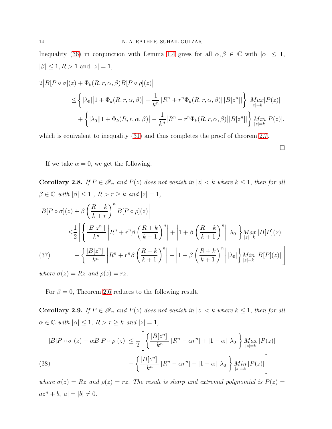Inequality [\(36\)](#page-12-2) in conjunction with Lemma [1.4](#page-3-2) gives for all  $\alpha, \beta \in \mathbb{C}$  with  $|\alpha| \leq 1$ ,  $|\beta| \leq 1, R > 1$  and  $|z| = 1$ ,

$$
2|B[P \circ \sigma](z) + \Phi_k(R, r, \alpha, \beta)B[P \circ \rho](z)|
$$
  
\n
$$
\leq \left\{ |\lambda_0| |1 + \Phi_k(R, r, \alpha, \beta)| + \frac{1}{k^n} |R^n + r^n \Phi_k(R, r, \alpha, \beta)| |B[z^n]| \right\} \left| \underset{|z|=k}{Max} |P(z)|
$$
  
\n
$$
+ \left\{ |\lambda_0| |1 + \Phi_k(R, r, \alpha, \beta)| - \frac{1}{k^n} |R^n + r^n \Phi_k(R, r, \alpha, \beta)| |B[z^n]| \right\} \underset{|z|=k}{Min} |P(z)|.
$$

which is equivalent to inequality  $(31)$  and thus completes the proof of theorem [2.7.](#page-11-0)

 $\Box$ 

If we take  $\alpha = 0$ , we get the following.

Corollary 2.8. If  $P \in \mathscr{P}_n$  and  $P(z)$  does not vanish in  $|z| < k$  where  $k \leq 1$ , then for all  $\beta \in \mathbb{C}$  with  $|\beta| \leq 1$  ,  $R > r \geq k$  and  $|z| = 1,$ 

$$
\begin{split}\n\left| B[P \circ \sigma](z) + \beta \left( \frac{R+k}{k+r} \right)^n B[P \circ \rho](z) \right| \\
\leq & \frac{1}{2} \left[ \left\{ \frac{|B[z^n]|}{k^n} \left| R^n + r^n \beta \left( \frac{R+k}{k+1} \right)^n \right| + \left| 1 + \beta \left( \frac{R+k}{k+1} \right)^n \right| |\lambda_0| \right\} \underset{|z|=k}{Max} |B[P](z)| \\
(37) \qquad & \left| \frac{|B[z^n]|}{k^n} \left| R^n + r^n \beta \left( \frac{R+k}{k+1} \right)^n \right| - \left| 1 + \beta \left( \frac{R+k}{k+1} \right)^n \right| |\lambda_0| \right\} \underset{|z|=k}{Min} |B[P](z)| \right]\n\end{split}
$$

where  $\sigma(z) = Rz$  and  $\rho(z) = rz$ .

For  $\beta = 0$ , Theorem [2.6](#page-10-0) reduces to the following result.

Corollary 2.9. If  $P \in \mathscr{P}_n$  and  $P(z)$  does not vanish in  $|z| < k$  where  $k \leq 1$ , then for all  $\alpha \in \mathbb{C}$  with  $|\alpha| \leq 1$ ,  $R > r \geq k$  and  $|z| = 1$ ,

$$
|B[P \circ \sigma](z) - \alpha B[P \circ \rho](z)| \le \frac{1}{2} \left[ \left\{ \frac{|B[z^n]|}{k^n} |R^n - \alpha r^n| + |1 - \alpha| |\lambda_0| \right\} \underset{|z|=k}{Max} |P(z)| - \left\{ \frac{|B[z^n]|}{k^n} |R^n - \alpha r^n| - |1 - \alpha| |\lambda_0| \right\} \underset{|z|=k}{Min} |P(z)| \right]
$$
\n(38)

where  $\sigma(z) = Rz$  and  $\rho(z) = rz$ . The result is sharp and extremal polynomial is  $P(z) = z$  $az^{n} + b, |a| = |b| \neq 0.$